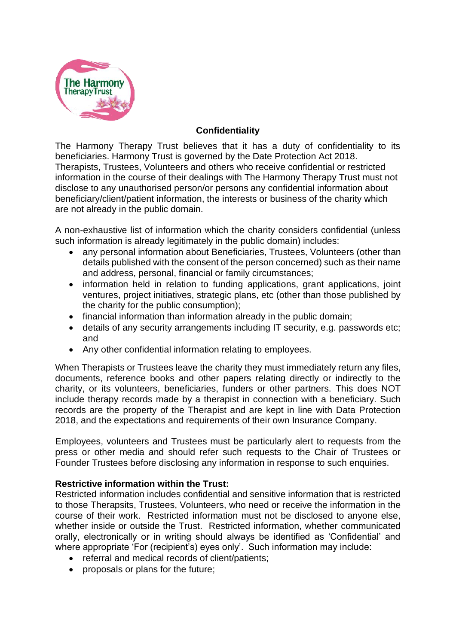

## **Confidentiality**

The Harmony Therapy Trust believes that it has a duty of confidentiality to its beneficiaries. Harmony Trust is governed by the Date Protection Act 2018. Therapists, Trustees, Volunteers and others who receive confidential or restricted information in the course of their dealings with The Harmony Therapy Trust must not disclose to any unauthorised person/or persons any confidential information about beneficiary/client/patient information, the interests or business of the charity which are not already in the public domain.

A non-exhaustive list of information which the charity considers confidential (unless such information is already legitimately in the public domain) includes:

- any personal information about Beneficiaries, Trustees, Volunteers (other than details published with the consent of the person concerned) such as their name and address, personal, financial or family circumstances;
- information held in relation to funding applications, grant applications, joint ventures, project initiatives, strategic plans, etc (other than those published by the charity for the public consumption);
- financial information than information already in the public domain;
- details of any security arrangements including IT security, e.g. passwords etc; and
- Any other confidential information relating to employees.

When Therapists or Trustees leave the charity they must immediately return any files, documents, reference books and other papers relating directly or indirectly to the charity, or its volunteers, beneficiaries, funders or other partners. This does NOT include therapy records made by a therapist in connection with a beneficiary. Such records are the property of the Therapist and are kept in line with Data Protection 2018, and the expectations and requirements of their own Insurance Company.

Employees, volunteers and Trustees must be particularly alert to requests from the press or other media and should refer such requests to the Chair of Trustees or Founder Trustees before disclosing any information in response to such enquiries.

## **Restrictive information within the Trust:**

Restricted information includes confidential and sensitive information that is restricted to those Therapsits, Trustees, Volunteers, who need or receive the information in the course of their work. Restricted information must not be disclosed to anyone else, whether inside or outside the Trust. Restricted information, whether communicated orally, electronically or in writing should always be identified as 'Confidential' and where appropriate 'For (recipient's) eyes only'. Such information may include:

- referral and medical records of client/patients;
- proposals or plans for the future;